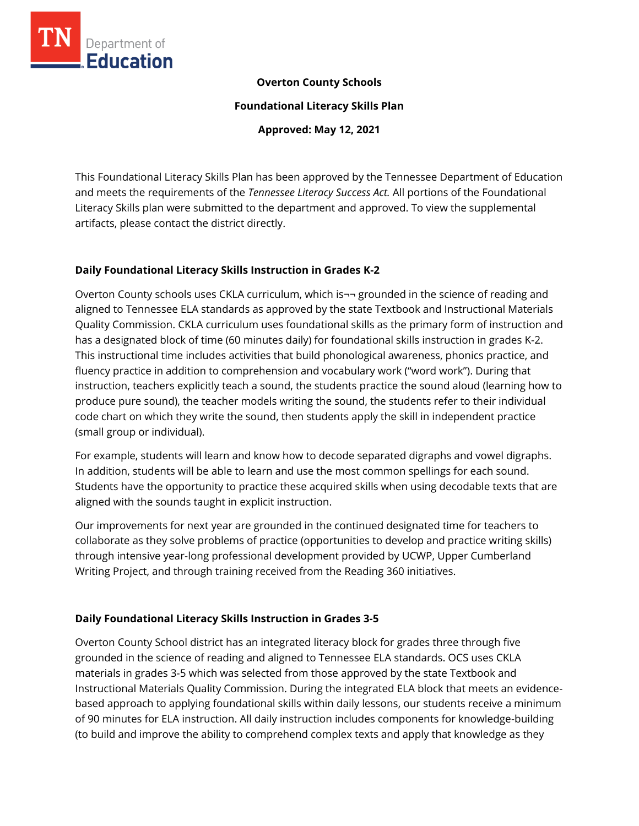

#### **Overton County Schools**

**Foundational Literacy Skills Plan**

**Approved: May 12, 2021**

This Foundational Literacy Skills Plan has been approved by the Tennessee Department of Education and meets the requirements of the *Tennessee Literacy Success Act.* All portions of the Foundational Literacy Skills plan were submitted to the department and approved. To view the supplemental artifacts, please contact the district directly.

#### **Daily Foundational Literacy Skills Instruction in Grades K-2**

Overton County schools uses CKLA curriculum, which is¬¬ grounded in the science of reading and aligned to Tennessee ELA standards as approved by the state Textbook and Instructional Materials Quality Commission. CKLA curriculum uses foundational skills as the primary form of instruction and has a designated block of time (60 minutes daily) for foundational skills instruction in grades K-2. This instructional time includes activities that build phonological awareness, phonics practice, and fluency practice in addition to comprehension and vocabulary work ("word work"). During that instruction, teachers explicitly teach a sound, the students practice the sound aloud (learning how to produce pure sound), the teacher models writing the sound, the students refer to their individual code chart on which they write the sound, then students apply the skill in independent practice (small group or individual).

For example, students will learn and know how to decode separated digraphs and vowel digraphs. In addition, students will be able to learn and use the most common spellings for each sound. Students have the opportunity to practice these acquired skills when using decodable texts that are aligned with the sounds taught in explicit instruction.

Our improvements for next year are grounded in the continued designated time for teachers to collaborate as they solve problems of practice (opportunities to develop and practice writing skills) through intensive year-long professional development provided by UCWP, Upper Cumberland Writing Project, and through training received from the Reading 360 initiatives.

## **Daily Foundational Literacy Skills Instruction in Grades 3-5**

Overton County School district has an integrated literacy block for grades three through five grounded in the science of reading and aligned to Tennessee ELA standards. OCS uses CKLA materials in grades 3-5 which was selected from those approved by the state Textbook and Instructional Materials Quality Commission. During the integrated ELA block that meets an evidencebased approach to applying foundational skills within daily lessons, our students receive a minimum of 90 minutes for ELA instruction. All daily instruction includes components for knowledge-building (to build and improve the ability to comprehend complex texts and apply that knowledge as they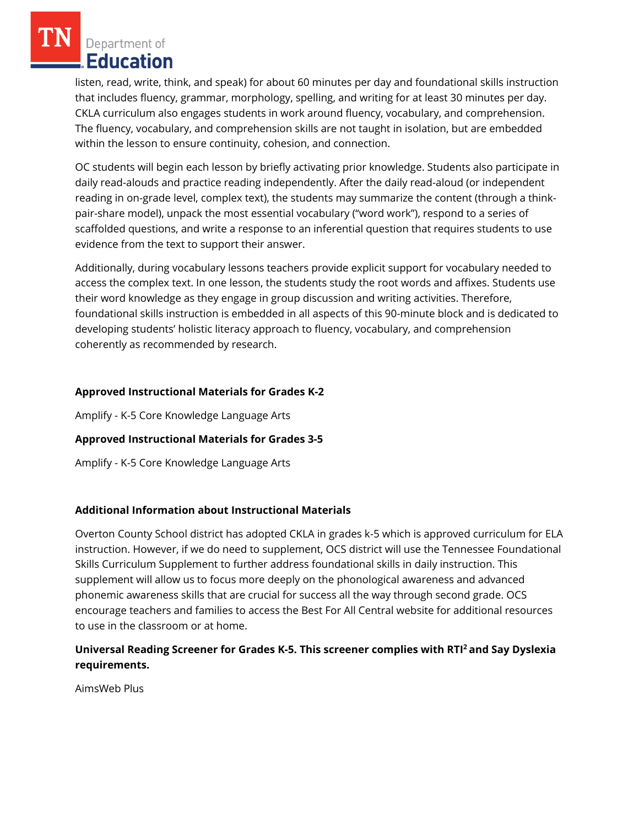Department of **Education** 

listen, read, write, think, and speak) for about 60 minutes per day and foundational skills instruction that includes fluency, grammar, morphology, spelling, and writing for at least 30 minutes per day. CKLA curriculum also engages students in work around fluency, vocabulary, and comprehension. The fluency, vocabulary, and comprehension skills are not taught in isolation, but are embedded within the lesson to ensure continuity, cohesion, and connection.

OC students will begin each lesson by briefly activating prior knowledge. Students also participate in daily read-alouds and practice reading independently. After the daily read-aloud (or independent reading in on-grade level, complex text), the students may summarize the content (through a thinkpair-share model), unpack the most essential vocabulary ("word work"), respond to a series of scaffolded questions, and write a response to an inferential question that requires students to use evidence from the text to support their answer.

Additionally, during vocabulary lessons teachers provide explicit support for vocabulary needed to access the complex text. In one lesson, the students study the root words and affixes. Students use their word knowledge as they engage in group discussion and writing activities. Therefore, foundational skills instruction is embedded in all aspects of this 90-minute block and is dedicated to developing students' holistic literacy approach to fluency, vocabulary, and comprehension coherently as recommended by research.

### **Approved Instructional Materials for Grades K-2**

Amplify - K-5 Core Knowledge Language Arts

## **Approved Instructional Materials for Grades 3-5**

Amplify - K-5 Core Knowledge Language Arts

#### **Additional Information about Instructional Materials**

Overton County School district has adopted CKLA in grades k-5 which is approved curriculum for ELA instruction. However, if we do need to supplement, OCS district will use the Tennessee Foundational Skills Curriculum Supplement to further address foundational skills in daily instruction. This supplement will allow us to focus more deeply on the phonological awareness and advanced phonemic awareness skills that are crucial for success all the way through second grade. OCS encourage teachers and families to access the Best For All Central website for additional resources to use in the classroom or at home.

## **Universal Reading Screener for Grades K-5. This screener complies with RTI<sup>2</sup>and Say Dyslexia requirements.**

AimsWeb Plus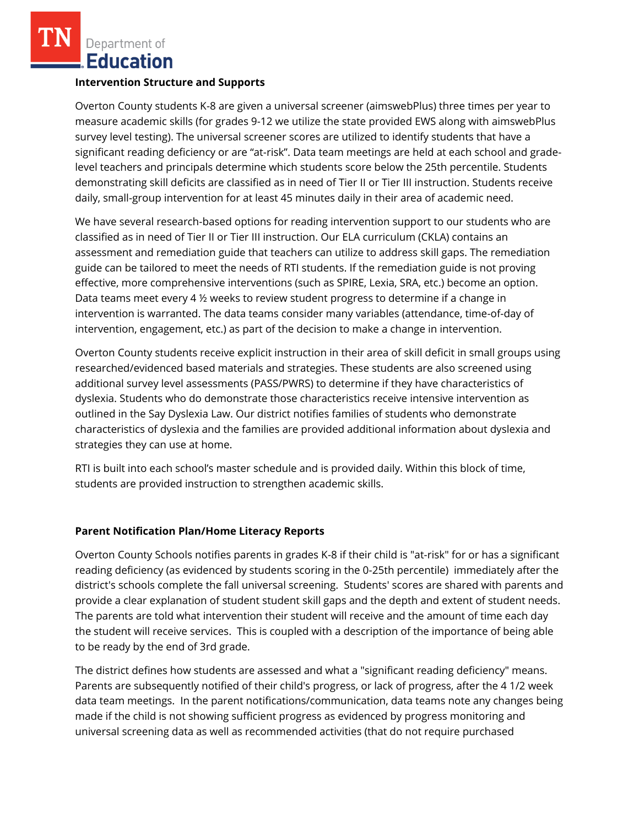Department of Education

#### **Intervention Structure and Supports**

Overton County students K-8 are given a universal screener (aimswebPlus) three times per year to measure academic skills (for grades 9-12 we utilize the state provided EWS along with aimswebPlus survey level testing). The universal screener scores are utilized to identify students that have a significant reading deficiency or are "at-risk". Data team meetings are held at each school and gradelevel teachers and principals determine which students score below the 25th percentile. Students demonstrating skill deficits are classified as in need of Tier II or Tier III instruction. Students receive daily, small-group intervention for at least 45 minutes daily in their area of academic need.

We have several research-based options for reading intervention support to our students who are classified as in need of Tier II or Tier III instruction. Our ELA curriculum (CKLA) contains an assessment and remediation guide that teachers can utilize to address skill gaps. The remediation guide can be tailored to meet the needs of RTI students. If the remediation guide is not proving effective, more comprehensive interventions (such as SPIRE, Lexia, SRA, etc.) become an option. Data teams meet every 4  $\frac{1}{2}$  weeks to review student progress to determine if a change in intervention is warranted. The data teams consider many variables (attendance, time-of-day of intervention, engagement, etc.) as part of the decision to make a change in intervention.

Overton County students receive explicit instruction in their area of skill deficit in small groups using researched/evidenced based materials and strategies. These students are also screened using additional survey level assessments (PASS/PWRS) to determine if they have characteristics of dyslexia. Students who do demonstrate those characteristics receive intensive intervention as outlined in the Say Dyslexia Law. Our district notifies families of students who demonstrate characteristics of dyslexia and the families are provided additional information about dyslexia and strategies they can use at home.

RTI is built into each school's master schedule and is provided daily. Within this block of time, students are provided instruction to strengthen academic skills.

#### **Parent Notification Plan/Home Literacy Reports**

Overton County Schools notifies parents in grades K-8 if their child is "at-risk" for or has a significant reading deficiency (as evidenced by students scoring in the 0-25th percentile) immediately after the district's schools complete the fall universal screening. Students' scores are shared with parents and provide a clear explanation of student student skill gaps and the depth and extent of student needs. The parents are told what intervention their student will receive and the amount of time each day the student will receive services. This is coupled with a description of the importance of being able to be ready by the end of 3rd grade.

The district defines how students are assessed and what a "significant reading deficiency" means. Parents are subsequently notified of their child's progress, or lack of progress, after the 4 1/2 week data team meetings. In the parent notifications/communication, data teams note any changes being made if the child is not showing sufficient progress as evidenced by progress monitoring and universal screening data as well as recommended activities (that do not require purchased